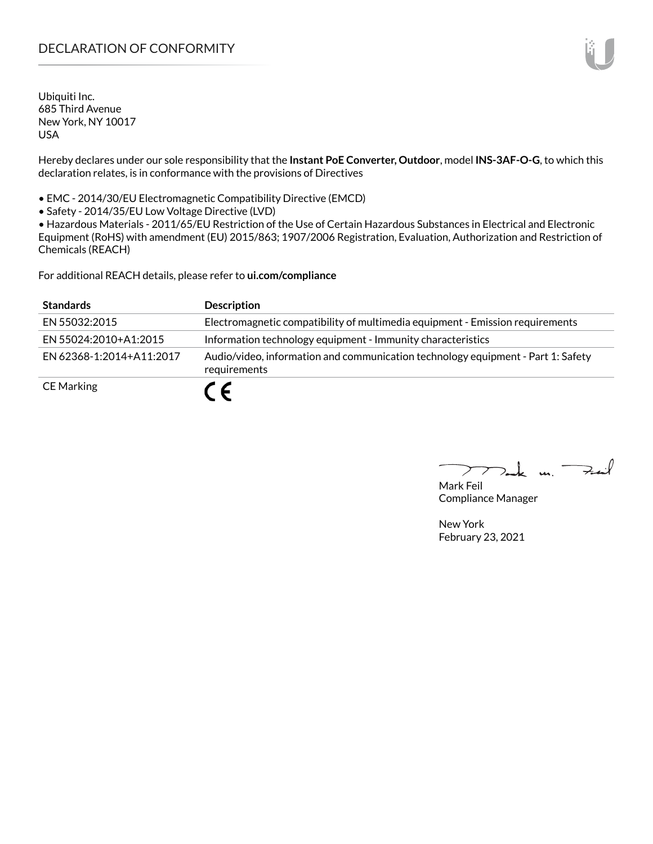# DECLARATION OF CONFORMITY

Ubiquiti Inc. 685 Third Avenue New York, NY 10017 USA

Hereby declares under our sole responsibility that the **Instant PoE Converter, Outdoor**, model **INS-3AF-O-G**, to which this declaration relates, is in conformance with the provisions of Directives

• EMC - 2014/30/EU Electromagnetic Compatibility Directive (EMCD)

• Safety - 2014/35/EU Low Voltage Directive (LVD)

• Hazardous Materials - 2011/65/EU Restriction of the Use of Certain Hazardous Substances in Electrical and Electronic Equipment (RoHS) with amendment (EU) 2015/863; 1907/2006 Registration, Evaluation, Authorization and Restriction of Chemicals (REACH)

For additional REACH details, please refer to **<ui.com/compliance>**

| <b>Standards</b>         | <b>Description</b>                                                                               |
|--------------------------|--------------------------------------------------------------------------------------------------|
| EN 55032:2015            | Electromagnetic compatibility of multimedia equipment - Emission requirements                    |
| EN 55024:2010+A1:2015    | Information technology equipment - Immunity characteristics                                      |
| FN 62368-1:2014+A11:2017 | Audio/video, information and communication technology equipment - Part 1: Safety<br>requirements |
| <b>CE Marking</b>        | C E                                                                                              |

Tak m. Fail  $\sum$ 

Mark Feil Compliance Manager

New York February 23, 2021